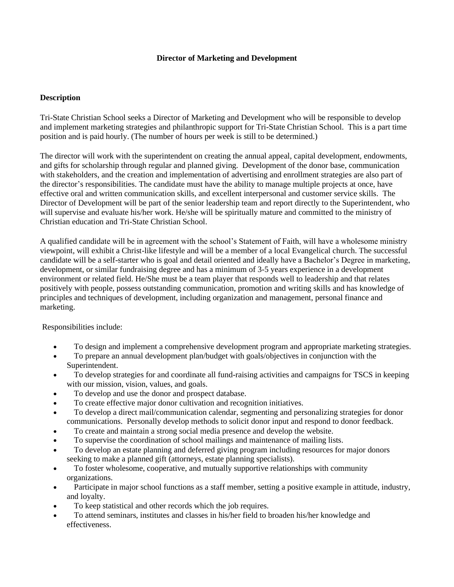## **Director of Marketing and Development**

## **Description**

Tri-State Christian School seeks a Director of Marketing and Development who will be responsible to develop and implement marketing strategies and philanthropic support for Tri-State Christian School. This is a part time position and is paid hourly. (The number of hours per week is still to be determined.)

The director will work with the superintendent on creating the annual appeal, capital development, endowments, and gifts for scholarship through regular and planned giving. Development of the donor base, communication with stakeholders, and the creation and implementation of advertising and enrollment strategies are also part of the director's responsibilities. The candidate must have the ability to manage multiple projects at once, have effective oral and written communication skills, and excellent interpersonal and customer service skills. The Director of Development will be part of the senior leadership team and report directly to the Superintendent, who will supervise and evaluate his/her work. He/she will be spiritually mature and committed to the ministry of Christian education and Tri-State Christian School.

A qualified candidate will be in agreement with the school's Statement of Faith, will have a wholesome ministry viewpoint, will exhibit a Christ-like lifestyle and will be a member of a local Evangelical church. The successful candidate will be a self-starter who is goal and detail oriented and ideally have a Bachelor's Degree in marketing, development, or similar fundraising degree and has a minimum of 3-5 years experience in a development environment or related field. He/She must be a team player that responds well to leadership and that relates positively with people, possess outstanding communication, promotion and writing skills and has knowledge of principles and techniques of development, including organization and management, personal finance and marketing.

Responsibilities include:

- To design and implement a comprehensive development program and appropriate marketing strategies.
- To prepare an annual development plan/budget with goals/objectives in conjunction with the Superintendent.
- To develop strategies for and coordinate all fund-raising activities and campaigns for TSCS in keeping with our mission, vision, values, and goals.
- To develop and use the donor and prospect database.
- To create effective major donor cultivation and recognition initiatives.
- To develop a direct mail/communication calendar, segmenting and personalizing strategies for donor communications. Personally develop methods to solicit donor input and respond to donor feedback.
- To create and maintain a strong social media presence and develop the website.
- To supervise the coordination of school mailings and maintenance of mailing lists.
- To develop an estate planning and deferred giving program including resources for major donors seeking to make a planned gift (attorneys, estate planning specialists).
- To foster wholesome, cooperative, and mutually supportive relationships with community organizations.
- Participate in major school functions as a staff member, setting a positive example in attitude, industry, and loyalty.
- To keep statistical and other records which the job requires.
- To attend seminars, institutes and classes in his/her field to broaden his/her knowledge and effectiveness.